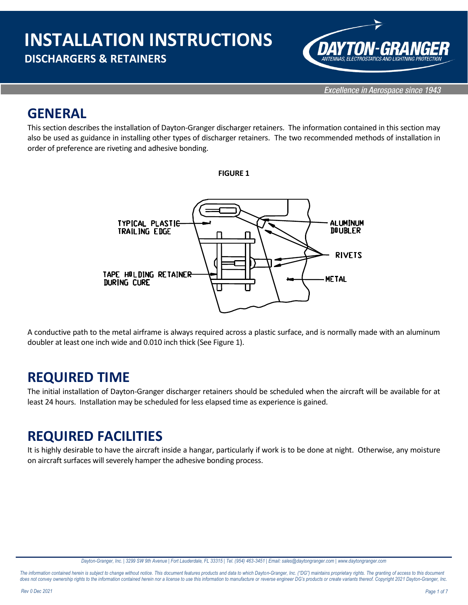

### **GENERAL**

This section describes the installation of Dayton-Granger discharger retainers. The information contained in this section may also be used as guidance in installing other types of discharger retainers. The two recommended methods of installation in order of preference are riveting and adhesive bonding.





A conductive path to the metal airframe is always required across a plastic surface, and is normally made with an aluminum doubler at least one inch wide and 0.010 inch thick (See Figure 1).

### **REQUIRED TIME**

The initial installation of Dayton-Granger discharger retainers should be scheduled when the aircraft will be available for at least 24 hours. Installation may be scheduled for less elapsed time as experience is gained.

### **REQUIRED FACILITIES**

It is highly desirable to have the aircraft inside a hangar, particularly if work is to be done at night. Otherwise, any moisture on aircraft surfaces will severely hamper the adhesive bonding process.

*Dayton-Granger, Inc. | 3299 SW 9th Avenue | Fort Lauderdale, FL 33315 | Tel. (954) 463-3451 | Email: sales@daytongranger.com [| www.daytongranger.com](http://www.daytongranger.com/)*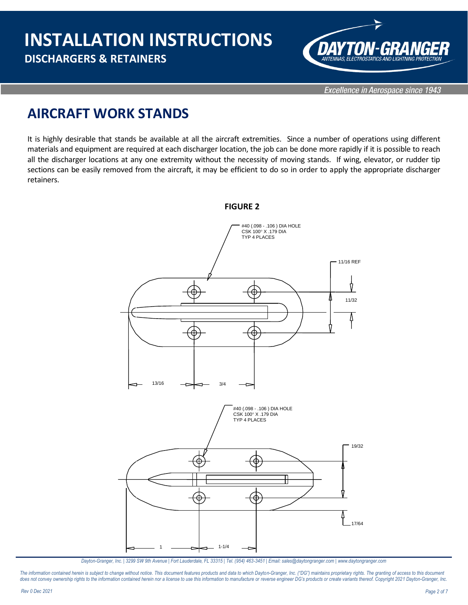

Excellence in Aerospace since 1943

### **AIRCRAFT WORK STANDS**

It is highly desirable that stands be available at all the aircraft extremities. Since a number of operations using different materials and equipment are required at each discharger location, the job can be done more rapidly if it is possible to reach all the discharger locations at any one extremity without the necessity of moving stands. If wing, elevator, or rudder tip sections can be easily removed from the aircraft, it may be efficient to do so in order to apply the appropriate discharger retainers.



*Dayton-Granger, Inc. | 3299 SW 9th Avenue | Fort Lauderdale, FL 33315 | Tel. (954) 463-3451 | Email: sales@daytongranger.com [| www.daytongranger.com](http://www.daytongranger.com/)*

The information contained herein is subject to change without notice. This document features products and data to which Dayton-Granger, Inc. ("DG") maintains proprietary rights. The granting of access to this document does not convey ownership rights to the information contained herein nor a license to use this information to manufacture or reverse engineer DG's products or create variants thereof. Copyright 2021 Dayton-Granger, Inc.

**FIGURE 2**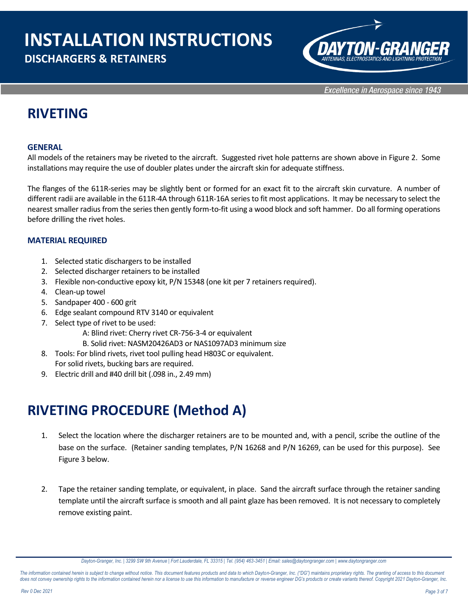# **INSTALLATION INSTRUCTIONS**

### **DISCHARGERS & RETAINERS**



Excellence in Aerospace since 1943

### **RIVETING**

#### **GENERAL**

All models of the retainers may be riveted to the aircraft. Suggested rivet hole patterns are shown above in Figure 2. Some installations may require the use of doubler plates under the aircraft skin for adequate stiffness.

The flanges of the 611R-series may be slightly bent or formed for an exact fit to the aircraft skin curvature. A number of different radii are available in the 611R-4A through 611R-16A seriesto fit most applications. It may be necessary to select the nearest smaller radius from the series then gently form-to-fit using a wood block and soft hammer. Do all forming operations before drilling the rivet holes.

#### **MATERIAL REQUIRED**

- 1. Selected static dischargers to be installed
- 2. Selected discharger retainers to be installed
- 3. Flexible non-conductive epoxy kit, P/N 15348 (one kit per 7 retainers required).
- 4. Clean-up towel
- 5. Sandpaper 400 600 grit
- 6. Edge sealant compound RTV 3140 or equivalent
- 7. Select type of rivet to be used:
	- A: Blind rivet: Cherry rivet CR-756-3-4 or equivalent
	- B. Solid rivet: NASM20426AD3 or NAS1097AD3 minimum size
- 8. Tools: For blind rivets, rivet tool pulling head H803C or equivalent. For solid rivets, bucking bars are required.
- 9. Electric drill and #40 drill bit (.098 in., 2.49 mm)

### **RIVETING PROCEDURE (Method A)**

- 1. Select the location where the discharger retainers are to be mounted and, with a pencil, scribe the outline of the base on the surface. (Retainer sanding templates, P/N 16268 and P/N 16269, can be used for this purpose). See Figure 3 below.
- 2. Tape the retainer sanding template, or equivalent, in place. Sand the aircraft surface through the retainer sanding template until the aircraft surface is smooth and all paint glaze has been removed. It is not necessary to completely remove existing paint.

*Dayton-Granger, Inc. | 3299 SW 9th Avenue | Fort Lauderdale, FL 33315 | Tel. (954) 463-3451 | Email: sales@daytongranger.com [| www.daytongranger.com](http://www.daytongranger.com/)*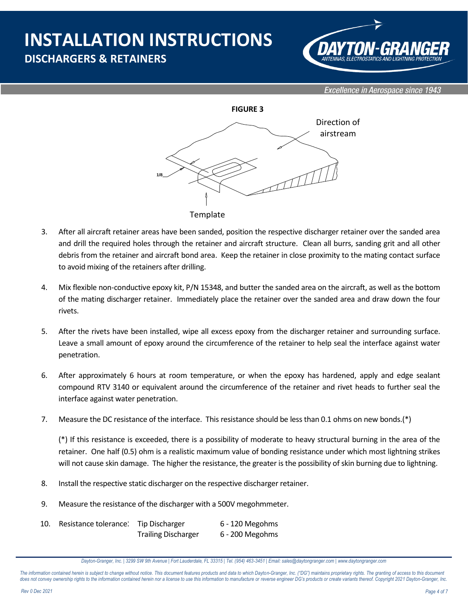## **INSTALLATION INSTRUCTIONS DISCHARGERS & RETAINERS**



Excellence in Aerospace since 1943



**Template** 

- 3. After all aircraft retainer areas have been sanded, position the respective discharger retainer over the sanded area and drill the required holes through the retainer and aircraft structure. Clean all burrs, sanding grit and all other debris from the retainer and aircraft bond area. Keep the retainer in close proximity to the mating contact surface to avoid mixing of the retainers after drilling.
- 4. Mix flexible non-conductive epoxy kit, P/N 15348, and butter the sanded area on the aircraft, as well as the bottom of the mating discharger retainer. Immediately place the retainer over the sanded area and draw down the four rivets.
- 5. After the rivets have been installed, wipe all excess epoxy from the discharger retainer and surrounding surface. Leave a small amount of epoxy around the circumference of the retainer to help seal the interface against water penetration.
- 6. After approximately 6 hours at room temperature, or when the epoxy has hardened, apply and edge sealant compound RTV 3140 or equivalent around the circumference of the retainer and rivet heads to further seal the interface against water penetration.
- 7. Measure the DC resistance of the interface. This resistance should be less than 0.1 ohms on new bonds.(\*)

(\*) If this resistance is exceeded, there is a possibility of moderate to heavy structural burning in the area of the retainer. One half (0.5) ohm is a realistic maximum value of bonding resistance under which most lightning strikes will not cause skin damage. The higher the resistance, the greater is the possibility of skin burning due to lightning.

- 8. Install the respective static discharger on the respective discharger retainer.
- 9. Measure the resistance of the discharger with a 500V megohmmeter.
- 10. Resistance tolerance: Tip Discharger 6 120 Megohms Trailing Discharger 6 - 200 Megohms

*Dayton-Granger, Inc. | 3299 SW 9th Avenue | Fort Lauderdale, FL 33315 | Tel. (954) 463-3451 | Email: sales@daytongranger.com [| www.daytongranger.com](http://www.daytongranger.com/)*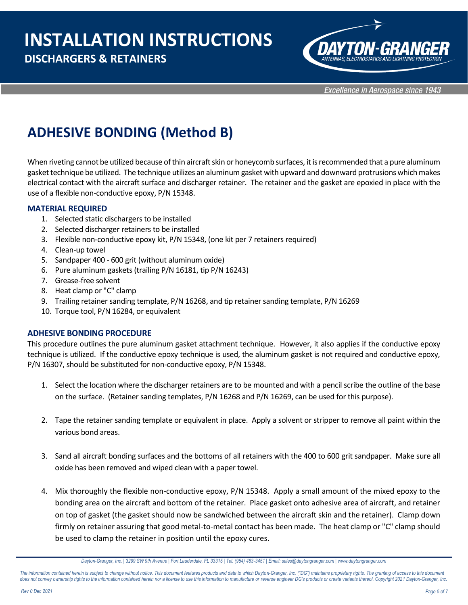### **DISCHARGERS & RETAINERS**



Excellence in Aerospace since 1943

### **ADHESIVE BONDING (Method B)**

When riveting cannot be utilized because of thin aircraft skin or honeycomb surfaces, it is recommended that a pure aluminum gasket technique be utilized. The technique utilizes an aluminum gasket with upward and downward protrusions which makes electrical contact with the aircraft surface and discharger retainer. The retainer and the gasket are epoxied in place with the use of a flexible non-conductive epoxy, P/N 15348.

#### **MATERIAL REQUIRED**

- 1. Selected static dischargers to be installed
- 2. Selected discharger retainers to be installed
- 3. Flexible non-conductive epoxy kit, P/N 15348, (one kit per 7 retainers required)
- 4. Clean-up towel
- 5. Sandpaper 400 600 grit (without aluminum oxide)
- 6. Pure aluminum gaskets (trailing P/N 16181, tip P/N 16243)
- 7. Grease-free solvent
- 8. Heat clamp or "C" clamp
- 9. Trailing retainer sanding template, P/N 16268, and tip retainer sanding template, P/N 16269
- 10. Torque tool, P/N 16284, or equivalent

#### **ADHESIVE BONDING PROCEDURE**

This procedure outlines the pure aluminum gasket attachment technique. However, it also applies if the conductive epoxy technique is utilized. If the conductive epoxy technique is used, the aluminum gasket is not required and conductive epoxy, P/N 16307, should be substituted for non-conductive epoxy, P/N 15348.

- 1. Select the location where the discharger retainers are to be mounted and with a pencil scribe the outline of the base on the surface. (Retainer sanding templates, P/N 16268 and P/N 16269, can be used for this purpose).
- 2. Tape the retainer sanding template or equivalent in place. Apply a solvent or stripper to remove all paint within the various bond areas.
- 3. Sand all aircraft bonding surfaces and the bottoms of all retainers with the 400 to 600 grit sandpaper. Make sure all oxide has been removed and wiped clean with a paper towel.
- 4. Mix thoroughly the flexible non-conductive epoxy, P/N 15348. Apply a small amount of the mixed epoxy to the bonding area on the aircraft and bottom of the retainer. Place gasket onto adhesive area of aircraft, and retainer on top of gasket (the gasket should now be sandwiched between the aircraft skin and the retainer). Clamp down firmly on retainer assuring that good metal-to-metal contact has been made. The heat clamp or "C" clamp should be used to clamp the retainer in position until the epoxy cures.

*Dayton-Granger, Inc. | 3299 SW 9th Avenue | Fort Lauderdale, FL 33315 | Tel. (954) 463-3451 | Email: sales@daytongranger.com [| www.daytongranger.com](http://www.daytongranger.com/)*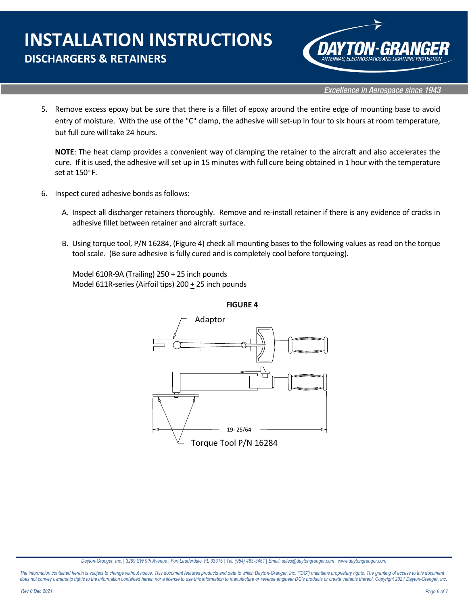# **INSTALLATION INSTRUCTIONS DISCHARGERS & RETAINERS**



**Excellence in Aerospace since 1943** 

5. Remove excess epoxy but be sure that there is a fillet of epoxy around the entire edge of mounting base to avoid entry of moisture. With the use of the "C" clamp, the adhesive will set-up in four to six hours at room temperature, but full cure will take 24 hours.

**NOTE**: The heat clamp provides a convenient way of clamping the retainer to the aircraft and also accelerates the cure. If it is used, the adhesive will set up in 15 minutes with full cure being obtained in 1 hour with the temperature set at  $150^{\circ}$  F.

- 6. Inspect cured adhesive bonds as follows:
	- A. Inspect all discharger retainers thoroughly. Remove and re-install retainer if there is any evidence of cracks in adhesive fillet between retainer and aircraft surface.
	- B. Using torque tool, P/N 16284, (Figure 4) check all mounting bases to the following values as read on the torque tool scale. (Be sure adhesive is fully cured and is completely cool before torqueing).

Model 610R-9A (Trailing) 250 + 25 inch pounds Model 611R-series (Airfoil tips) 200 + 25 inch pounds



*Dayton-Granger, Inc. | 3299 SW 9th Avenue | Fort Lauderdale, FL 33315 | Tel. (954) 463-3451 | Email: sales@daytongranger.com [| www.daytongranger.com](http://www.daytongranger.com/)*